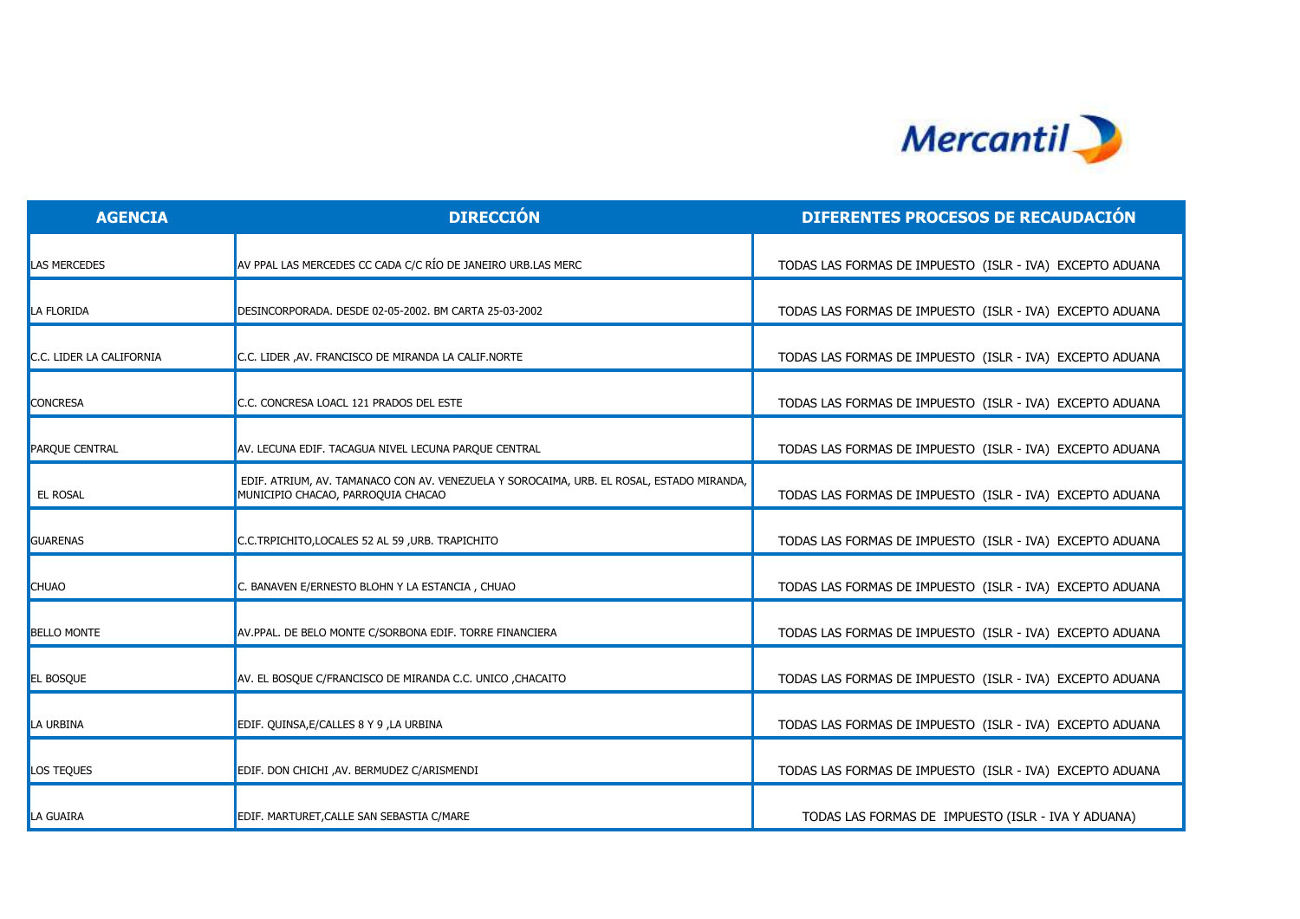

| <b>AGENCIA</b>           | <b>DIRECCIÓN</b>                                                                                                               | DIFERENTES PROCESOS DE RECAUDACIÓN                       |
|--------------------------|--------------------------------------------------------------------------------------------------------------------------------|----------------------------------------------------------|
| <b>LAS MERCEDES</b>      | AV PPAL LAS MERCEDES CC CADA C/C RÍO DE JANEIRO URB.LAS MERC                                                                   | TODAS LAS FORMAS DE IMPUESTO (ISLR - IVA) EXCEPTO ADUANA |
| LA FLORIDA               | DESINCORPORADA, DESDE 02-05-2002, BM CARTA 25-03-2002                                                                          | TODAS LAS FORMAS DE IMPUESTO (ISLR - IVA) EXCEPTO ADUANA |
| C.C. LIDER LA CALIFORNIA | C.C. LIDER , AV. FRANCISCO DE MIRANDA LA CALIF.NORTE                                                                           | TODAS LAS FORMAS DE IMPUESTO (ISLR - IVA) EXCEPTO ADUANA |
| <b>CONCRESA</b>          | C.C. CONCRESA LOACL 121 PRADOS DEL ESTE                                                                                        | TODAS LAS FORMAS DE IMPUESTO (ISLR - IVA) EXCEPTO ADUANA |
| PARQUE CENTRAL           | AV. LECUNA EDIF. TACAGUA NIVEL LECUNA PARQUE CENTRAL                                                                           | TODAS LAS FORMAS DE IMPUESTO (ISLR - IVA) EXCEPTO ADUANA |
| EL ROSAL                 | EDIF. ATRIUM, AV. TAMANACO CON AV. VENEZUELA Y SOROCAIMA, URB. EL ROSAL, ESTADO MIRANDA,<br>MUNICIPIO CHACAO, PARROQUIA CHACAO | TODAS LAS FORMAS DE IMPUESTO (ISLR - IVA) EXCEPTO ADUANA |
| <b>GUARENAS</b>          | C.C.TRPICHITO, LOCALES 52 AL 59, URB. TRAPICHITO                                                                               | TODAS LAS FORMAS DE IMPUESTO (ISLR - IVA) EXCEPTO ADUANA |
| <b>CHUAO</b>             | C. BANAVEN E/ERNESTO BLOHN Y LA ESTANCIA, CHUAO                                                                                | TODAS LAS FORMAS DE IMPUESTO (ISLR - IVA) EXCEPTO ADUANA |
| <b>BELLO MONTE</b>       | AV.PPAL. DE BELO MONTE C/SORBONA EDIF. TORRE FINANCIERA                                                                        | TODAS LAS FORMAS DE IMPUESTO (ISLR - IVA) EXCEPTO ADUANA |
| <b>EL BOSQUE</b>         | AV. EL BOSQUE C/FRANCISCO DE MIRANDA C.C. UNICO ,CHACAITO                                                                      | TODAS LAS FORMAS DE IMPUESTO (ISLR - IVA) EXCEPTO ADUANA |
| LA URBINA                | EDIF. QUINSA, E/CALLES 8 Y 9, LA URBINA                                                                                        | TODAS LAS FORMAS DE IMPUESTO (ISLR - IVA) EXCEPTO ADUANA |
| <b>LOS TEQUES</b>        | EDIF. DON CHICHI , AV. BERMUDEZ C/ARISMENDI                                                                                    | TODAS LAS FORMAS DE IMPUESTO (ISLR - IVA) EXCEPTO ADUANA |
| la Guaira                | EDIF. MARTURET, CALLE SAN SEBASTIA C/MARE                                                                                      | TODAS LAS FORMAS DE IMPUESTO (ISLR - IVA Y ADUANA)       |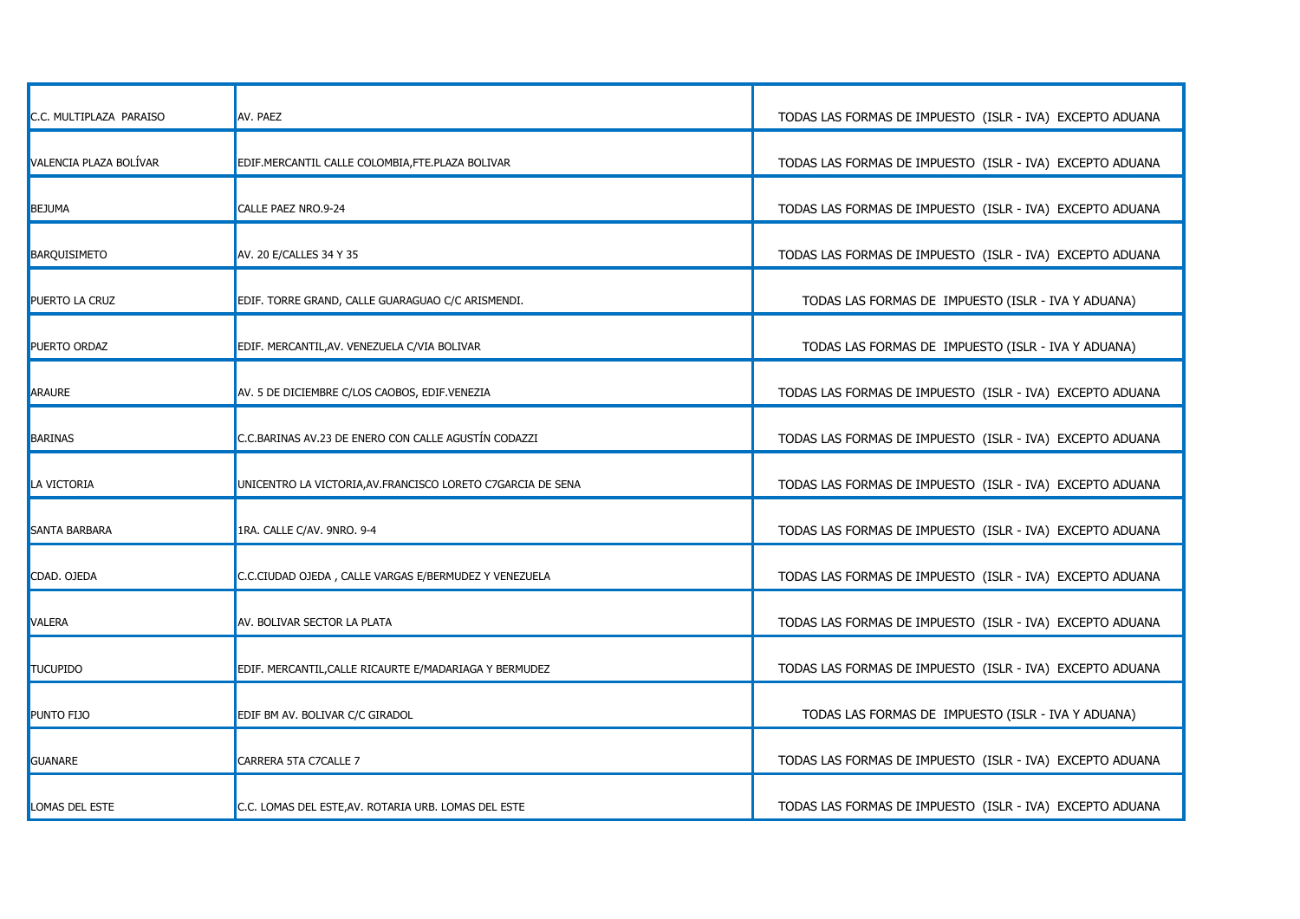| C.C. MULTIPLAZA PARAISO | AV. PAEZ                                                     | TODAS LAS FORMAS DE IMPUESTO (ISLR - IVA) EXCEPTO ADUANA |
|-------------------------|--------------------------------------------------------------|----------------------------------------------------------|
| VALENCIA PLAZA BOLÍVAR  | EDIF.MERCANTIL CALLE COLOMBIA, FTE.PLAZA BOLIVAR             | TODAS LAS FORMAS DE IMPUESTO (ISLR - IVA) EXCEPTO ADUANA |
| <b>BEJUMA</b>           | CALLE PAEZ NRO.9-24                                          | TODAS LAS FORMAS DE IMPUESTO (ISLR - IVA) EXCEPTO ADUANA |
| <b>BARQUISIMETO</b>     | AV. 20 E/CALLES 34 Y 35                                      | TODAS LAS FORMAS DE IMPUESTO (ISLR - IVA) EXCEPTO ADUANA |
| PUERTO LA CRUZ          | EDIF. TORRE GRAND, CALLE GUARAGUAO C/C ARISMENDI.            | TODAS LAS FORMAS DE IMPUESTO (ISLR - IVA Y ADUANA)       |
| PUERTO ORDAZ            | EDIF. MERCANTIL, AV. VENEZUELA C/VIA BOLIVAR                 | TODAS LAS FORMAS DE IMPUESTO (ISLR - IVA Y ADUANA)       |
| <b>ARAURE</b>           | AV. 5 DE DICIEMBRE C/LOS CAOBOS, EDIF.VENEZIA                | TODAS LAS FORMAS DE IMPUESTO (ISLR - IVA) EXCEPTO ADUANA |
| <b>BARINAS</b>          | C.C.BARINAS AV.23 DE ENERO CON CALLE AGUSTÍN CODAZZI         | TODAS LAS FORMAS DE IMPUESTO (ISLR - IVA) EXCEPTO ADUANA |
| LA VICTORIA             | UNICENTRO LA VICTORIA, AV. FRANCISCO LORETO C7GARCIA DE SENA | TODAS LAS FORMAS DE IMPUESTO (ISLR - IVA) EXCEPTO ADUANA |
| <b>SANTA BARBARA</b>    | 1RA. CALLE C/AV. 9NRO. 9-4                                   | TODAS LAS FORMAS DE IMPUESTO (ISLR - IVA) EXCEPTO ADUANA |
| CDAD. OJEDA             | C.C.CIUDAD OJEDA, CALLE VARGAS E/BERMUDEZ Y VENEZUELA        | TODAS LAS FORMAS DE IMPUESTO (ISLR - IVA) EXCEPTO ADUANA |
| VALERA                  | AV. BOLIVAR SECTOR LA PLATA                                  | TODAS LAS FORMAS DE IMPUESTO (ISLR - IVA) EXCEPTO ADUANA |
| <b>TUCUPIDO</b>         | EDIF. MERCANTIL, CALLE RICAURTE E/MADARIAGA Y BERMUDEZ       | TODAS LAS FORMAS DE IMPUESTO (ISLR - IVA) EXCEPTO ADUANA |
| PUNTO FIJO              | EDIF BM AV. BOLIVAR C/C GIRADOL                              | TODAS LAS FORMAS DE IMPUESTO (ISLR - IVA Y ADUANA)       |
| <b>GUANARE</b>          | CARRERA 5TA C7CALLE 7                                        | TODAS LAS FORMAS DE IMPUESTO (ISLR - IVA) EXCEPTO ADUANA |
| LOMAS DEL ESTE          | C.C. LOMAS DEL ESTE, AV. ROTARIA URB. LOMAS DEL ESTE         | TODAS LAS FORMAS DE IMPUESTO (ISLR - IVA) EXCEPTO ADUANA |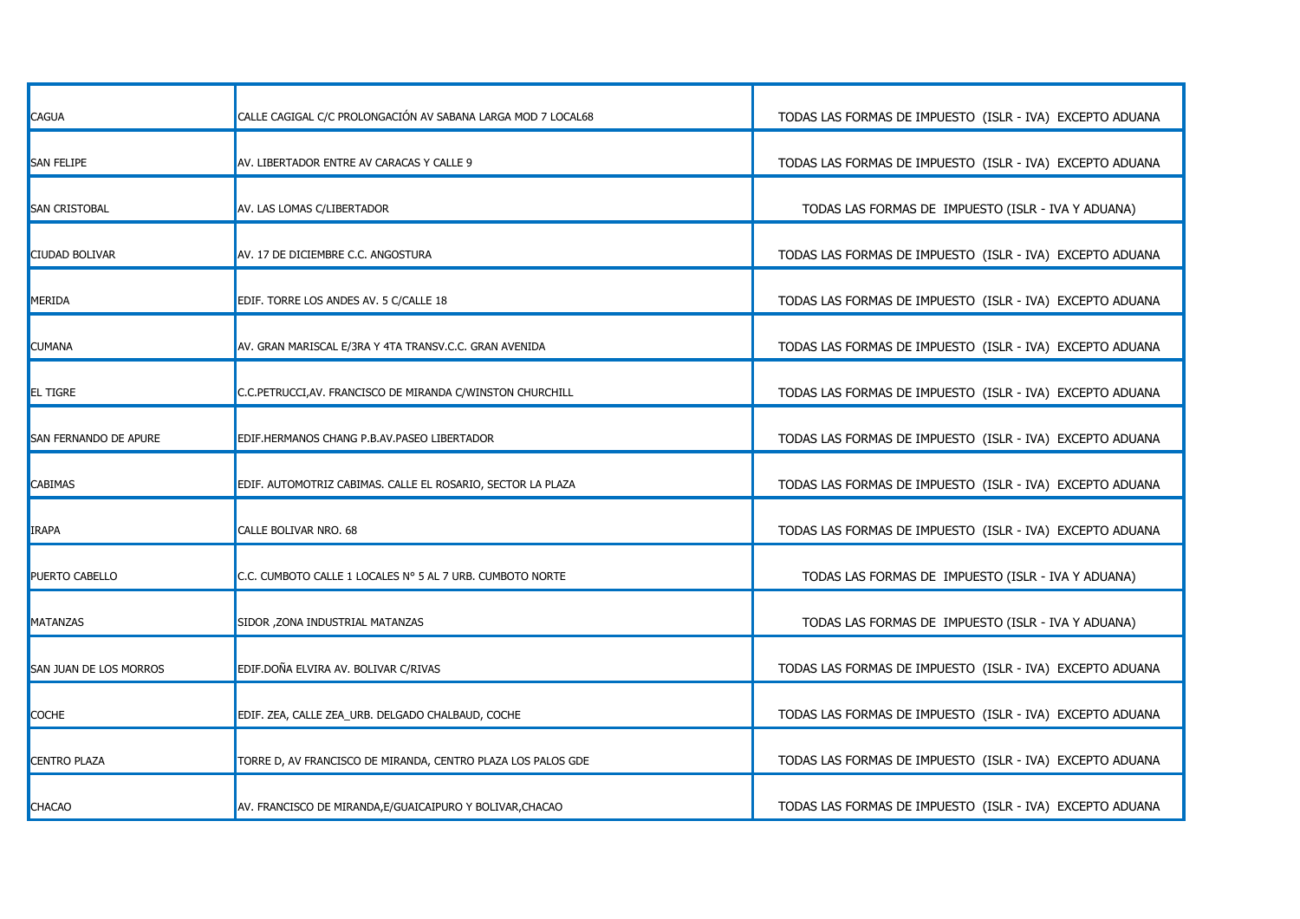| <b>CAGUA</b>           | CALLE CAGIGAL C/C PROLONGACIÓN AV SABANA LARGA MOD 7 LOCAL68 | TODAS LAS FORMAS DE IMPUESTO (ISLR - IVA) EXCEPTO ADUANA |
|------------------------|--------------------------------------------------------------|----------------------------------------------------------|
| <b>SAN FELIPE</b>      | AV. LIBERTADOR ENTRE AV CARACAS Y CALLE 9                    | TODAS LAS FORMAS DE IMPUESTO (ISLR - IVA) EXCEPTO ADUANA |
| <b>SAN CRISTOBAL</b>   | AV. LAS LOMAS C/LIBERTADOR                                   | TODAS LAS FORMAS DE IMPUESTO (ISLR - IVA Y ADUANA)       |
| <b>CIUDAD BOLIVAR</b>  | AV. 17 DE DICIEMBRE C.C. ANGOSTURA                           | TODAS LAS FORMAS DE IMPUESTO (ISLR - IVA) EXCEPTO ADUANA |
| MERIDA                 | EDIF. TORRE LOS ANDES AV. 5 C/CALLE 18                       | TODAS LAS FORMAS DE IMPUESTO (ISLR - IVA) EXCEPTO ADUANA |
| CUMANA                 | AV. GRAN MARISCAL E/3RA Y 4TA TRANSV.C.C. GRAN AVENIDA       | TODAS LAS FORMAS DE IMPUESTO (ISLR - IVA) EXCEPTO ADUANA |
| <b>EL TIGRE</b>        | C.C.PETRUCCI,AV. FRANCISCO DE MIRANDA C/WINSTON CHURCHILL    | TODAS LAS FORMAS DE IMPUESTO (ISLR - IVA) EXCEPTO ADUANA |
| SAN FERNANDO DE APURE  | EDIF.HERMANOS CHANG P.B.AV.PASEO LIBERTADOR                  | TODAS LAS FORMAS DE IMPUESTO (ISLR - IVA) EXCEPTO ADUANA |
| CABIMAS                | EDIF. AUTOMOTRIZ CABIMAS. CALLE EL ROSARIO, SECTOR LA PLAZA  | TODAS LAS FORMAS DE IMPUESTO (ISLR - IVA) EXCEPTO ADUANA |
| IRAPA                  | CALLE BOLIVAR NRO. 68                                        | TODAS LAS FORMAS DE IMPUESTO (ISLR - IVA) EXCEPTO ADUANA |
| PUERTO CABELLO         | C.C. CUMBOTO CALLE 1 LOCALES N° 5 AL 7 URB. CUMBOTO NORTE    | TODAS LAS FORMAS DE IMPUESTO (ISLR - IVA Y ADUANA)       |
| MATANZAS               | SIDOR , ZONA INDUSTRIAL MATANZAS                             | TODAS LAS FORMAS DE IMPUESTO (ISLR - IVA Y ADUANA)       |
| SAN JUAN DE LOS MORROS | EDIF.DOÑA ELVIRA AV. BOLIVAR C/RIVAS                         | TODAS LAS FORMAS DE IMPUESTO (ISLR - IVA) EXCEPTO ADUANA |
| COCHE                  | EDIF. ZEA, CALLE ZEA_URB. DELGADO CHALBAUD, COCHE            | TODAS LAS FORMAS DE IMPUESTO (ISLR - IVA) EXCEPTO ADUANA |
| <b>CENTRO PLAZA</b>    | TORRE D, AV FRANCISCO DE MIRANDA, CENTRO PLAZA LOS PALOS GDE | TODAS LAS FORMAS DE IMPUESTO (ISLR - IVA) EXCEPTO ADUANA |
| CHACAO                 | AV. FRANCISCO DE MIRANDA, E/GUAICAIPURO Y BOLIVAR, CHACAO    | TODAS LAS FORMAS DE IMPUESTO (ISLR - IVA) EXCEPTO ADUANA |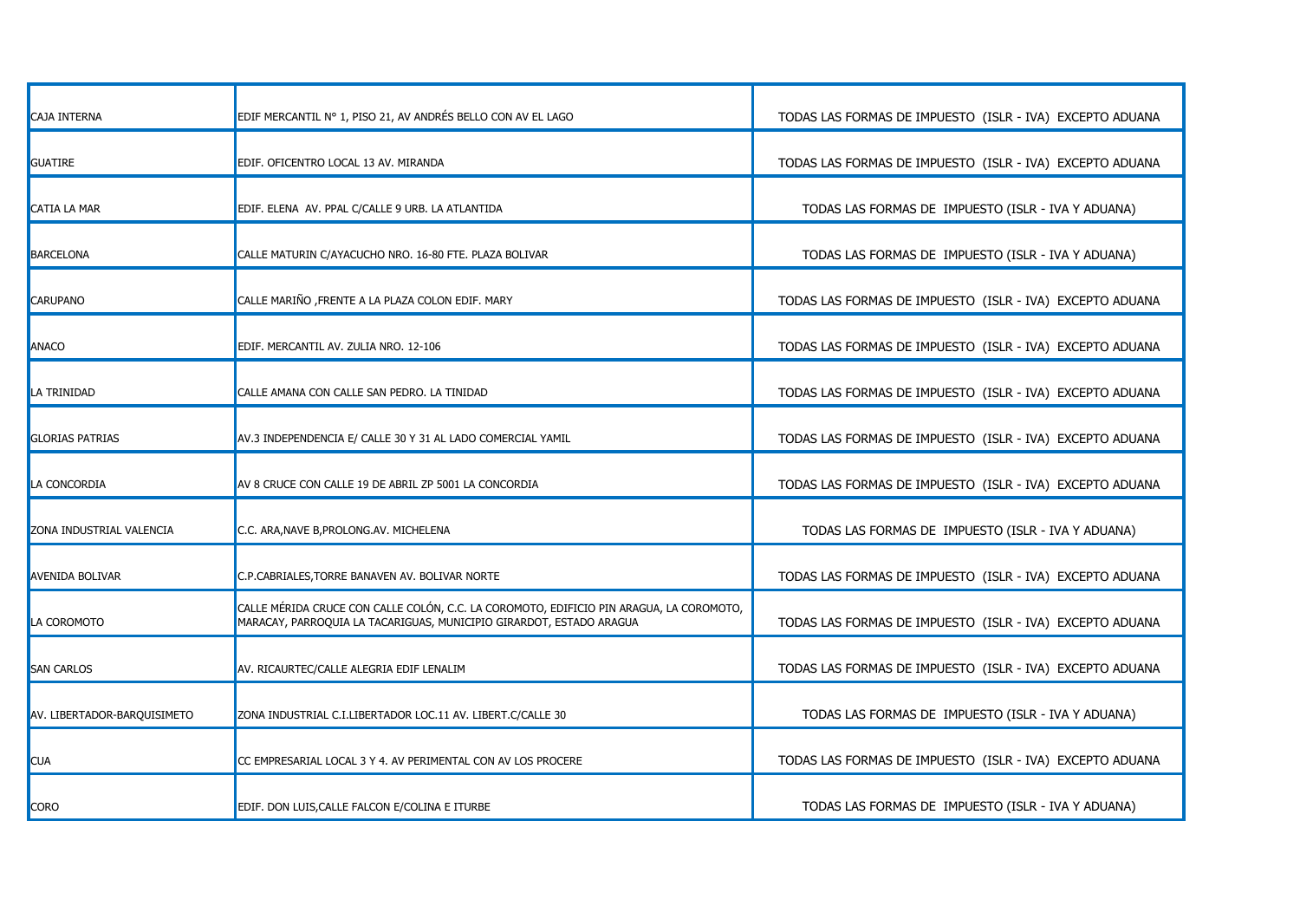| <b>CAJA INTERNA</b>         | EDIF MERCANTIL Nº 1, PISO 21, AV ANDRÉS BELLO CON AV EL LAGO                                                                                                   | TODAS LAS FORMAS DE IMPUESTO (ISLR - IVA) EXCEPTO ADUANA |
|-----------------------------|----------------------------------------------------------------------------------------------------------------------------------------------------------------|----------------------------------------------------------|
| GUATIRE                     | EDIF. OFICENTRO LOCAL 13 AV. MIRANDA                                                                                                                           | TODAS LAS FORMAS DE IMPUESTO (ISLR - IVA) EXCEPTO ADUANA |
| CATIA LA MAR                | EDIF. ELENA AV. PPAL C/CALLE 9 URB. LA ATLANTIDA                                                                                                               | TODAS LAS FORMAS DE IMPUESTO (ISLR - IVA Y ADUANA)       |
| <b>BARCELONA</b>            | CALLE MATURIN C/AYACUCHO NRO. 16-80 FTE. PLAZA BOLIVAR                                                                                                         | TODAS LAS FORMAS DE IMPUESTO (ISLR - IVA Y ADUANA)       |
| CARUPANO                    | CALLE MARIÑO ,FRENTE A LA PLAZA COLON EDIF. MARY                                                                                                               | TODAS LAS FORMAS DE IMPUESTO (ISLR - IVA) EXCEPTO ADUANA |
| ANACO                       | EDIF. MERCANTIL AV. ZULIA NRO. 12-106                                                                                                                          | TODAS LAS FORMAS DE IMPUESTO (ISLR - IVA) EXCEPTO ADUANA |
| LA TRINIDAD                 | CALLE AMANA CON CALLE SAN PEDRO. LA TINIDAD                                                                                                                    | TODAS LAS FORMAS DE IMPUESTO (ISLR - IVA) EXCEPTO ADUANA |
| <b>GLORIAS PATRIAS</b>      | AV.3 INDEPENDENCIA E/ CALLE 30 Y 31 AL LADO COMERCIAL YAMIL                                                                                                    | TODAS LAS FORMAS DE IMPUESTO (ISLR - IVA) EXCEPTO ADUANA |
| LA CONCORDIA                | AV 8 CRUCE CON CALLE 19 DE ABRIL ZP 5001 LA CONCORDIA                                                                                                          | TODAS LAS FORMAS DE IMPUESTO (ISLR - IVA) EXCEPTO ADUANA |
| ZONA INDUSTRIAL VALENCIA    | C.C. ARA, NAVE B, PROLONG.AV. MICHELENA                                                                                                                        | TODAS LAS FORMAS DE IMPUESTO (ISLR - IVA Y ADUANA)       |
| <b>AVENIDA BOLIVAR</b>      | C.P.CABRIALES, TORRE BANAVEN AV. BOLIVAR NORTE                                                                                                                 | TODAS LAS FORMAS DE IMPUESTO (ISLR - IVA) EXCEPTO ADUANA |
| LA COROMOTO                 | CALLE MÉRIDA CRUCE CON CALLE COLÓN, C.C. LA COROMOTO, EDIFICIO PIN ARAGUA, LA COROMOTO,<br>MARACAY, PARROQUIA LA TACARIGUAS, MUNICIPIO GIRARDOT, ESTADO ARAGUA | TODAS LAS FORMAS DE IMPUESTO (ISLR - IVA) EXCEPTO ADUANA |
| <b>SAN CARLOS</b>           | AV. RICAURTEC/CALLE ALEGRIA EDIF LENALIM                                                                                                                       | TODAS LAS FORMAS DE IMPUESTO (ISLR - IVA) EXCEPTO ADUANA |
| AV. LIBERTADOR-BARQUISIMETO | ZONA INDUSTRIAL C.I.LIBERTADOR LOC.11 AV. LIBERT.C/CALLE 30                                                                                                    | TODAS LAS FORMAS DE IMPUESTO (ISLR - IVA Y ADUANA)       |
| Cua                         | CC EMPRESARIAL LOCAL 3 Y 4. AV PERIMENTAL CON AV LOS PROCERE                                                                                                   | TODAS LAS FORMAS DE IMPUESTO (ISLR - IVA) EXCEPTO ADUANA |
| Coro                        | EDIF. DON LUIS, CALLE FALCON E/COLINA E ITURBE                                                                                                                 | TODAS LAS FORMAS DE IMPUESTO (ISLR - IVA Y ADUANA)       |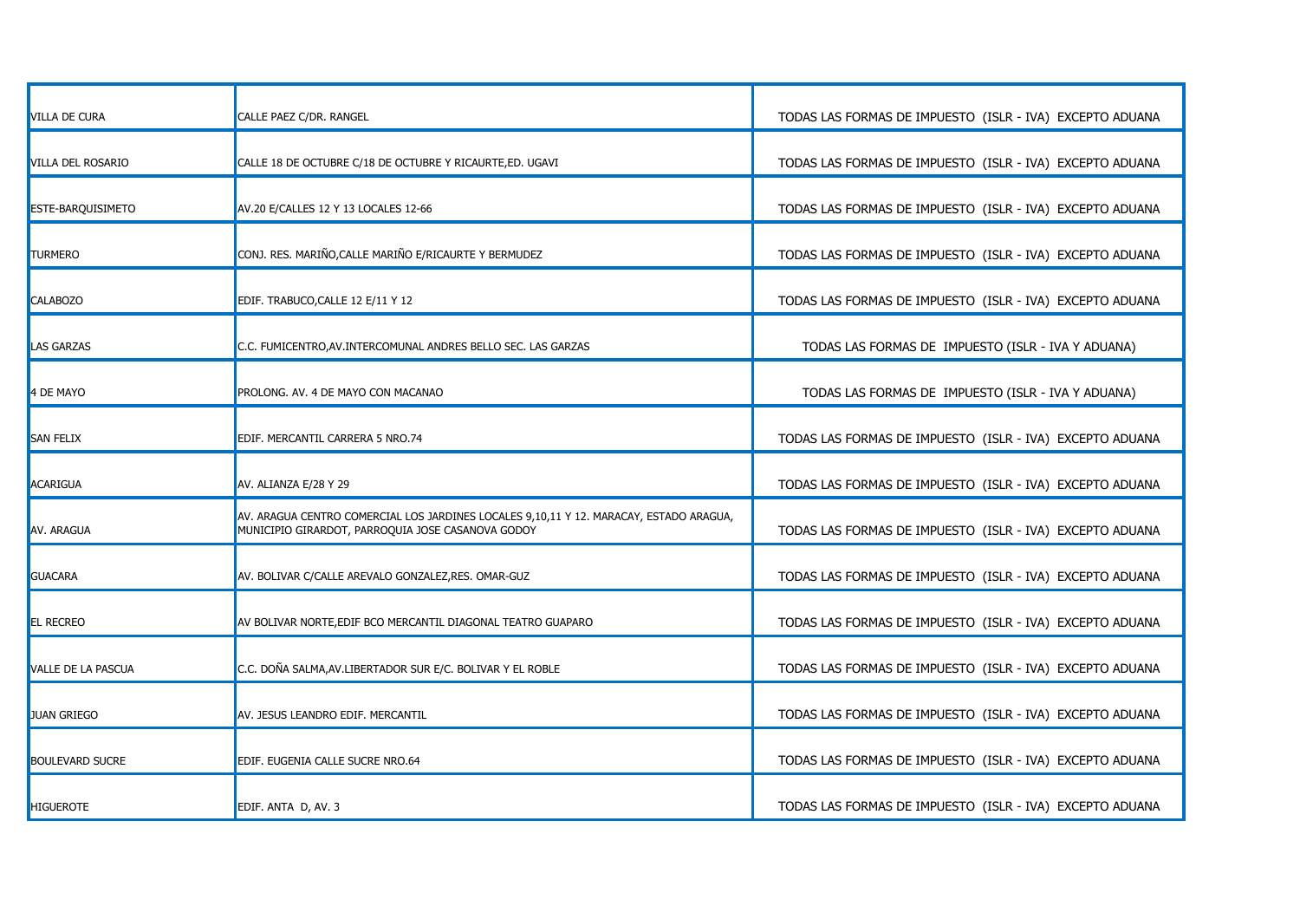| <b>VILLA DE CURA</b>   | CALLE PAEZ C/DR. RANGEL                                                                                                                     | TODAS LAS FORMAS DE IMPUESTO (ISLR - IVA) EXCEPTO ADUANA |
|------------------------|---------------------------------------------------------------------------------------------------------------------------------------------|----------------------------------------------------------|
| VILLA DEL ROSARIO      | CALLE 18 DE OCTUBRE C/18 DE OCTUBRE Y RICAURTE, ED. UGAVI                                                                                   | TODAS LAS FORMAS DE IMPUESTO (ISLR - IVA) EXCEPTO ADUANA |
| ESTE-BARQUISIMETO      | AV.20 E/CALLES 12 Y 13 LOCALES 12-66                                                                                                        | TODAS LAS FORMAS DE IMPUESTO (ISLR - IVA) EXCEPTO ADUANA |
| <b>TURMERO</b>         | CONJ. RES. MARIÑO, CALLE MARIÑO E/RICAURTE Y BERMUDEZ                                                                                       | TODAS LAS FORMAS DE IMPUESTO (ISLR - IVA) EXCEPTO ADUANA |
| CALABOZO               | EDIF. TRABUCO, CALLE 12 E/11 Y 12                                                                                                           | TODAS LAS FORMAS DE IMPUESTO (ISLR - IVA) EXCEPTO ADUANA |
| LAS GARZAS             | C.C. FUMICENTRO, AV. INTERCOMUNAL ANDRES BELLO SEC. LAS GARZAS                                                                              | TODAS LAS FORMAS DE IMPUESTO (ISLR - IVA Y ADUANA)       |
| 4 DE MAYO              | PROLONG. AV. 4 DE MAYO CON MACANAO                                                                                                          | TODAS LAS FORMAS DE IMPUESTO (ISLR - IVA Y ADUANA)       |
| SAN FELIX              | EDIF. MERCANTIL CARRERA 5 NRO.74                                                                                                            | TODAS LAS FORMAS DE IMPUESTO (ISLR - IVA) EXCEPTO ADUANA |
| ACARIGUA               | AV. ALIANZA E/28 Y 29                                                                                                                       | TODAS LAS FORMAS DE IMPUESTO (ISLR - IVA) EXCEPTO ADUANA |
| AV. ARAGUA             | AV. ARAGUA CENTRO COMERCIAL LOS JARDINES LOCALES 9,10,11 Y 12. MARACAY, ESTADO ARAGUA,<br>MUNICIPIO GIRARDOT, PARROQUIA JOSE CASANOVA GODOY | TODAS LAS FORMAS DE IMPUESTO (ISLR - IVA) EXCEPTO ADUANA |
| <b>GUACARA</b>         | AV. BOLIVAR C/CALLE AREVALO GONZALEZ, RES. OMAR-GUZ                                                                                         | TODAS LAS FORMAS DE IMPUESTO (ISLR - IVA) EXCEPTO ADUANA |
| <b>EL RECREO</b>       | AV BOLIVAR NORTE, EDIF BCO MERCANTIL DIAGONAL TEATRO GUAPARO                                                                                | TODAS LAS FORMAS DE IMPUESTO (ISLR - IVA) EXCEPTO ADUANA |
| VALLE DE LA PASCUA     | C.C. DOÑA SALMA, AV. LIBERTADOR SUR E/C. BOLIVAR Y EL ROBLE                                                                                 | TODAS LAS FORMAS DE IMPUESTO (ISLR - IVA) EXCEPTO ADUANA |
| <b>JUAN GRIEGO</b>     | AV. JESUS LEANDRO EDIF. MERCANTIL                                                                                                           | TODAS LAS FORMAS DE IMPUESTO (ISLR - IVA) EXCEPTO ADUANA |
| <b>BOULEVARD SUCRE</b> | EDIF. EUGENIA CALLE SUCRE NRO.64                                                                                                            | TODAS LAS FORMAS DE IMPUESTO (ISLR - IVA) EXCEPTO ADUANA |
| <b>HIGUEROTE</b>       | EDIF. ANTA D, AV. 3                                                                                                                         | TODAS LAS FORMAS DE IMPUESTO (ISLR - IVA) EXCEPTO ADUANA |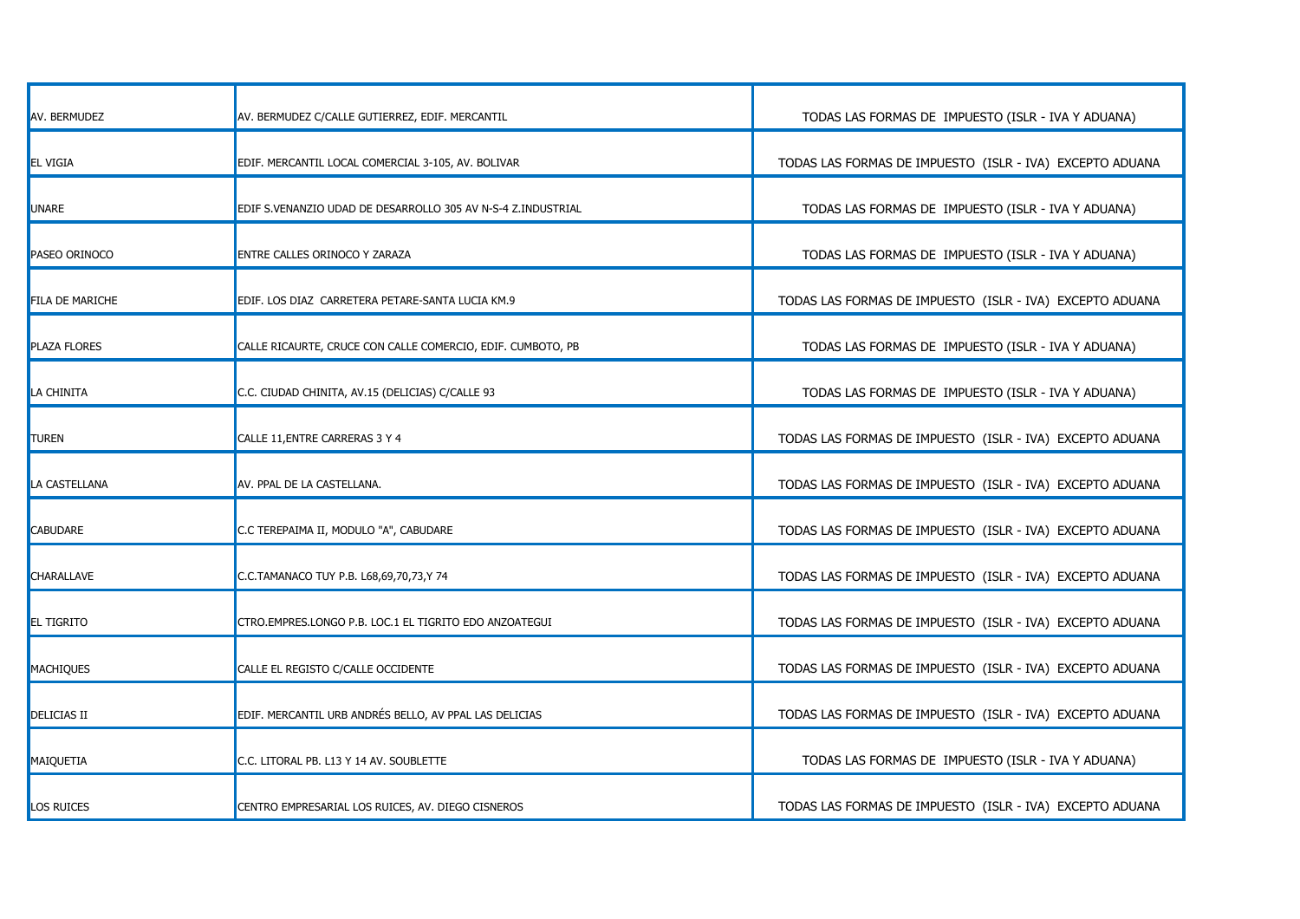| AV. BERMUDEZ           | AV. BERMUDEZ C/CALLE GUTIERREZ, EDIF. MERCANTIL              | TODAS LAS FORMAS DE IMPUESTO (ISLR - IVA Y ADUANA)       |
|------------------------|--------------------------------------------------------------|----------------------------------------------------------|
| <b>EL VIGIA</b>        | EDIF. MERCANTIL LOCAL COMERCIAL 3-105, AV. BOLIVAR           | TODAS LAS FORMAS DE IMPUESTO (ISLR - IVA) EXCEPTO ADUANA |
| UNARE                  | EDIF S.VENANZIO UDAD DE DESARROLLO 305 AV N-S-4 Z.INDUSTRIAL | TODAS LAS FORMAS DE IMPUESTO (ISLR - IVA Y ADUANA)       |
| <b>PASEO ORINOCO</b>   | <b>ENTRE CALLES ORINOCO Y ZARAZA</b>                         | TODAS LAS FORMAS DE IMPUESTO (ISLR - IVA Y ADUANA)       |
| <b>FILA DE MARICHE</b> | EDIF. LOS DIAZ CARRETERA PETARE-SANTA LUCIA KM.9             | TODAS LAS FORMAS DE IMPUESTO (ISLR - IVA) EXCEPTO ADUANA |
| PLAZA FLORES           | CALLE RICAURTE, CRUCE CON CALLE COMERCIO, EDIF. CUMBOTO, PB  | TODAS LAS FORMAS DE IMPUESTO (ISLR - IVA Y ADUANA)       |
| LA CHINITA             | C.C. CIUDAD CHINITA, AV.15 (DELICIAS) C/CALLE 93             | TODAS LAS FORMAS DE IMPUESTO (ISLR - IVA Y ADUANA)       |
| <b>TUREN</b>           | CALLE 11, ENTRE CARRERAS 3 Y 4                               | TODAS LAS FORMAS DE IMPUESTO (ISLR - IVA) EXCEPTO ADUANA |
| LA CASTELLANA          | AV. PPAL DE LA CASTELLANA.                                   | TODAS LAS FORMAS DE IMPUESTO (ISLR - IVA) EXCEPTO ADUANA |
| <b>CABUDARE</b>        | C.C TEREPAIMA II, MODULO "A", CABUDARE                       | TODAS LAS FORMAS DE IMPUESTO (ISLR - IVA) EXCEPTO ADUANA |
| <b>CHARALLAVE</b>      | C.C.TAMANACO TUY P.B. L68,69,70,73,Y 74                      | TODAS LAS FORMAS DE IMPUESTO (ISLR - IVA) EXCEPTO ADUANA |
| <b>EL TIGRITO</b>      | CTRO.EMPRES.LONGO P.B. LOC.1 EL TIGRITO EDO ANZOATEGUI       | TODAS LAS FORMAS DE IMPUESTO (ISLR - IVA) EXCEPTO ADUANA |
| <b>MACHIQUES</b>       | CALLE EL REGISTO C/CALLE OCCIDENTE                           | TODAS LAS FORMAS DE IMPUESTO (ISLR - IVA) EXCEPTO ADUANA |
| DELICIAS II            | EDIF. MERCANTIL URB ANDRÉS BELLO, AV PPAL LAS DELICIAS       | TODAS LAS FORMAS DE IMPUESTO (ISLR - IVA) EXCEPTO ADUANA |
| MAIQUETIA              | C.C. LITORAL PB. L13 Y 14 AV. SOUBLETTE                      | TODAS LAS FORMAS DE IMPUESTO (ISLR - IVA Y ADUANA)       |
| Los Ruices             | CENTRO EMPRESARIAL LOS RUICES, AV. DIEGO CISNEROS            | TODAS LAS FORMAS DE IMPUESTO (ISLR - IVA) EXCEPTO ADUANA |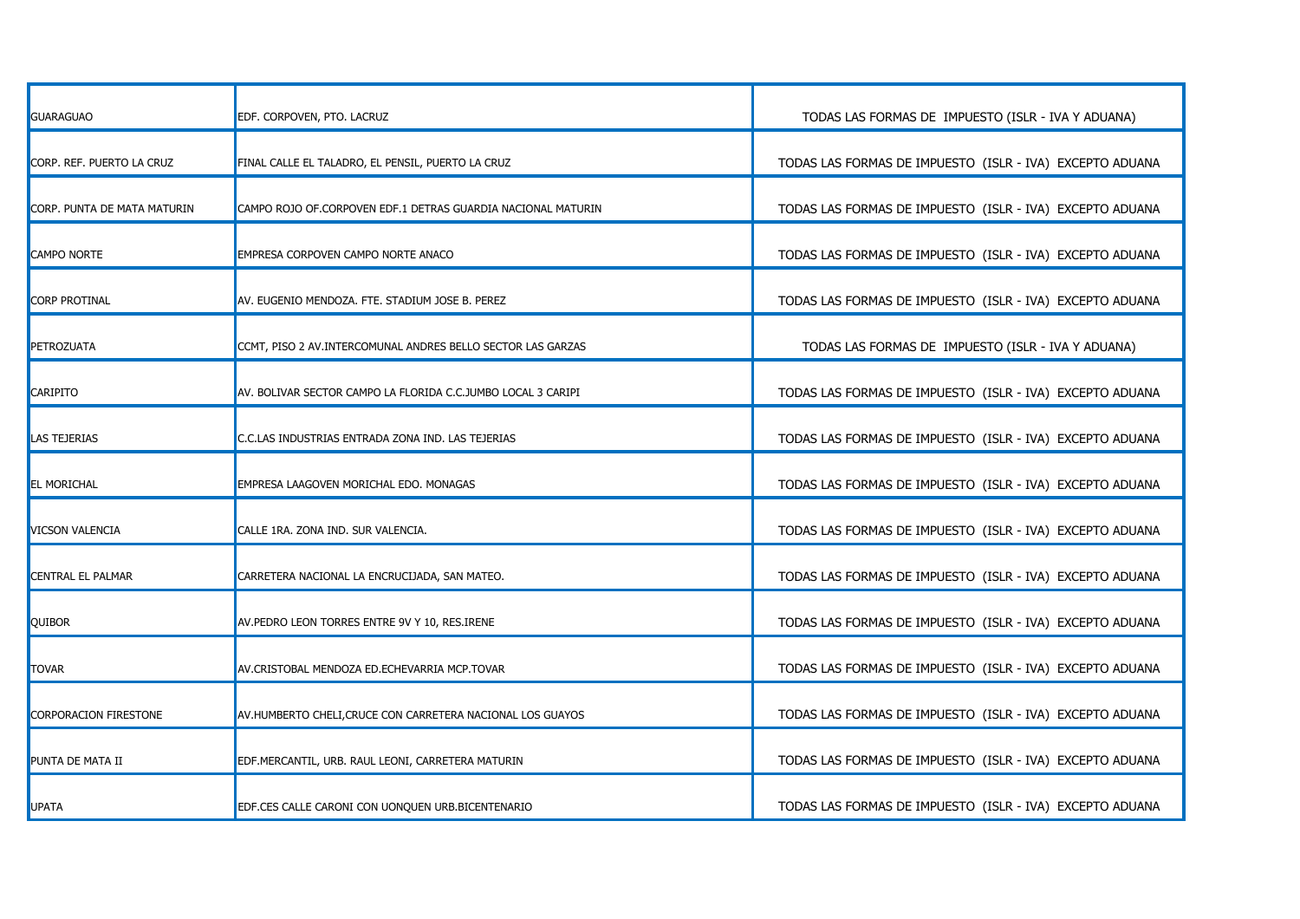| <b>GUARAGUAO</b>            | EDF. CORPOVEN, PTO. LACRUZ                                   | TODAS LAS FORMAS DE IMPUESTO (ISLR - IVA Y ADUANA)       |
|-----------------------------|--------------------------------------------------------------|----------------------------------------------------------|
| CORP. REF. PUERTO LA CRUZ   | FINAL CALLE EL TALADRO, EL PENSIL, PUERTO LA CRUZ            | TODAS LAS FORMAS DE IMPUESTO (ISLR - IVA) EXCEPTO ADUANA |
| CORP. PUNTA DE MATA MATURIN | CAMPO ROJO OF.CORPOVEN EDF.1 DETRAS GUARDIA NACIONAL MATURIN | TODAS LAS FORMAS DE IMPUESTO (ISLR - IVA) EXCEPTO ADUANA |
| <b>CAMPO NORTE</b>          | EMPRESA CORPOVEN CAMPO NORTE ANACO                           | TODAS LAS FORMAS DE IMPUESTO (ISLR - IVA) EXCEPTO ADUANA |
| CORP PROTINAL               | AV. EUGENIO MENDOZA. FTE. STADIUM JOSE B. PEREZ              | TODAS LAS FORMAS DE IMPUESTO (ISLR - IVA) EXCEPTO ADUANA |
| <b>PETROZUATA</b>           | CCMT, PISO 2 AV.INTERCOMUNAL ANDRES BELLO SECTOR LAS GARZAS  | TODAS LAS FORMAS DE IMPUESTO (ISLR - IVA Y ADUANA)       |
| <b>CARIPITO</b>             | AV. BOLIVAR SECTOR CAMPO LA FLORIDA C.C.JUMBO LOCAL 3 CARIPI | TODAS LAS FORMAS DE IMPUESTO (ISLR - IVA) EXCEPTO ADUANA |
| LAS TEJERIAS                | C.C.LAS INDUSTRIAS ENTRADA ZONA IND. LAS TEJERIAS            | TODAS LAS FORMAS DE IMPUESTO (ISLR - IVA) EXCEPTO ADUANA |
| EL MORICHAL                 | EMPRESA LAAGOVEN MORICHAL EDO. MONAGAS                       | TODAS LAS FORMAS DE IMPUESTO (ISLR - IVA) EXCEPTO ADUANA |
| VICSON VALENCIA             | CALLE 1RA. ZONA IND. SUR VALENCIA.                           | TODAS LAS FORMAS DE IMPUESTO (ISLR - IVA) EXCEPTO ADUANA |
| CENTRAL EL PALMAR           | CARRETERA NACIONAL LA ENCRUCIJADA, SAN MATEO.                | TODAS LAS FORMAS DE IMPUESTO (ISLR - IVA) EXCEPTO ADUANA |
| <b>QUIBOR</b>               | AV. PEDRO LEON TORRES ENTRE 9V Y 10, RES. IRENE              | TODAS LAS FORMAS DE IMPUESTO (ISLR - IVA) EXCEPTO ADUANA |
| TOVAR                       | AV.CRISTOBAL MENDOZA ED.ECHEVARRIA MCP.TOVAR                 | TODAS LAS FORMAS DE IMPUESTO (ISLR - IVA) EXCEPTO ADUANA |
| CORPORACION FIRESTONE       | AV.HUMBERTO CHELI, CRUCE CON CARRETERA NACIONAL LOS GUAYOS   | TODAS LAS FORMAS DE IMPUESTO (ISLR - IVA) EXCEPTO ADUANA |
| PUNTA DE MATA II            | EDF.MERCANTIL, URB. RAUL LEONI, CARRETERA MATURIN            | TODAS LAS FORMAS DE IMPUESTO (ISLR - IVA) EXCEPTO ADUANA |
| UPATA                       | EDF.CES CALLE CARONI CON UONQUEN URB.BICENTENARIO            | TODAS LAS FORMAS DE IMPUESTO (ISLR - IVA) EXCEPTO ADUANA |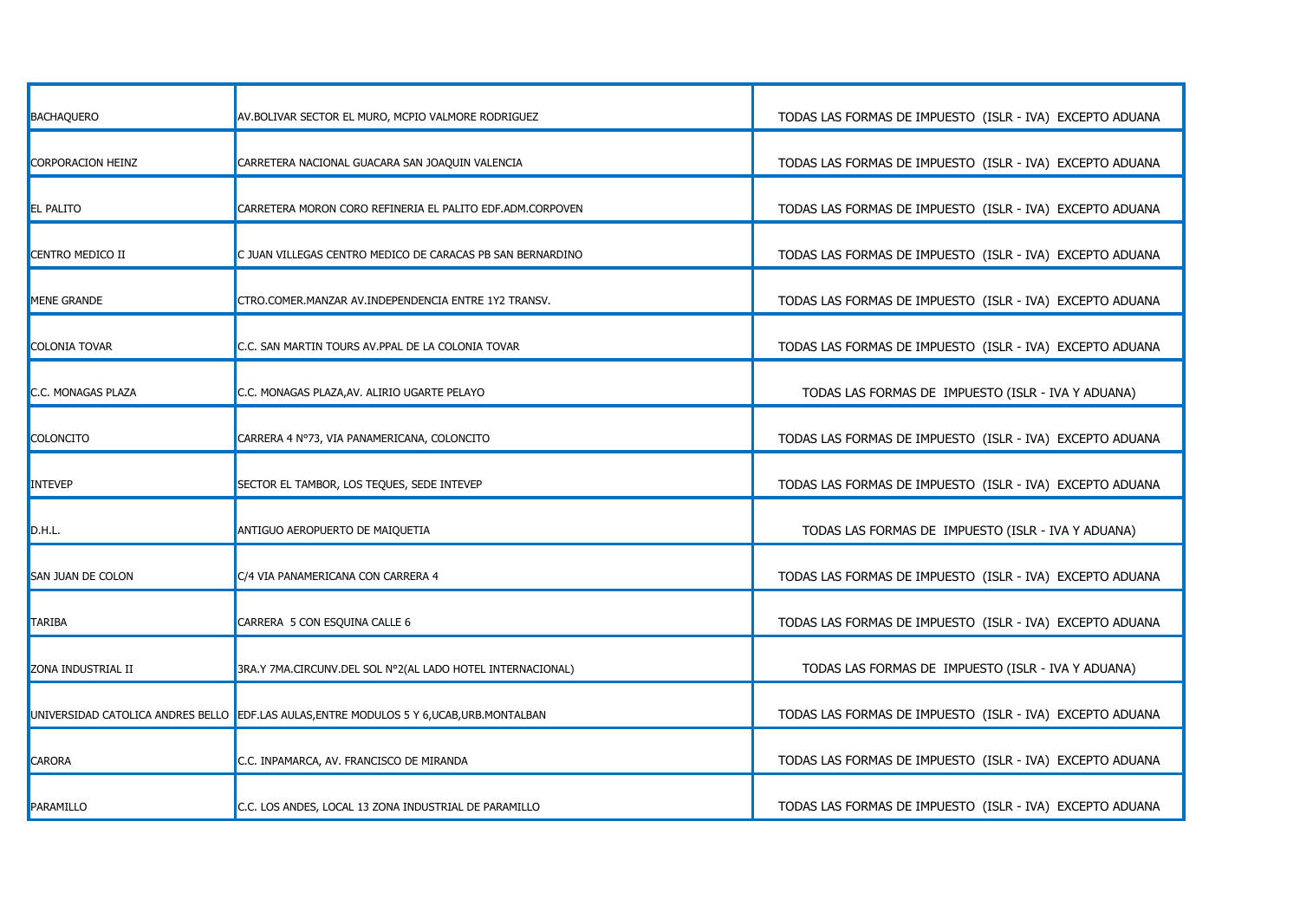| <b>BACHAQUERO</b>       | AV.BOLIVAR SECTOR EL MURO, MCPIO VALMORE RODRIGUEZ                                         | TODAS LAS FORMAS DE IMPUESTO (ISLR - IVA) EXCEPTO ADUANA |
|-------------------------|--------------------------------------------------------------------------------------------|----------------------------------------------------------|
| CORPORACION HEINZ       | CARRETERA NACIONAL GUACARA SAN JOAQUIN VALENCIA                                            | TODAS LAS FORMAS DE IMPUESTO (ISLR - IVA) EXCEPTO ADUANA |
| <b>EL PALITO</b>        | CARRETERA MORON CORO REFINERIA EL PALITO EDF.ADM.CORPOVEN                                  | TODAS LAS FORMAS DE IMPUESTO (ISLR - IVA) EXCEPTO ADUANA |
| <b>CENTRO MEDICO II</b> | C JUAN VILLEGAS CENTRO MEDICO DE CARACAS PB SAN BERNARDINO                                 | TODAS LAS FORMAS DE IMPUESTO (ISLR - IVA) EXCEPTO ADUANA |
| MENE GRANDE             | CTRO.COMER.MANZAR AV.INDEPENDENCIA ENTRE 1Y2 TRANSV.                                       | TODAS LAS FORMAS DE IMPUESTO (ISLR - IVA) EXCEPTO ADUANA |
| <b>COLONIA TOVAR</b>    | C.C. SAN MARTIN TOURS AV.PPAL DE LA COLONIA TOVAR                                          | TODAS LAS FORMAS DE IMPUESTO (ISLR - IVA) EXCEPTO ADUANA |
| C.C. MONAGAS PLAZA      | C.C. MONAGAS PLAZA, AV. ALIRIO UGARTE PELAYO                                               | TODAS LAS FORMAS DE IMPUESTO (ISLR - IVA Y ADUANA)       |
| COLONCITO               | CARRERA 4 Nº73, VIA PANAMERICANA, COLONCITO                                                | TODAS LAS FORMAS DE IMPUESTO (ISLR - IVA) EXCEPTO ADUANA |
| INTEVEP                 | SECTOR EL TAMBOR, LOS TEQUES, SEDE INTEVEP                                                 | TODAS LAS FORMAS DE IMPUESTO (ISLR - IVA) EXCEPTO ADUANA |
| D.H.L.                  | ANTIGUO AEROPUERTO DE MAIQUETIA                                                            | TODAS LAS FORMAS DE IMPUESTO (ISLR - IVA Y ADUANA)       |
| SAN JUAN DE COLON       | C/4 VIA PANAMERICANA CON CARRERA 4                                                         | TODAS LAS FORMAS DE IMPUESTO (ISLR - IVA) EXCEPTO ADUANA |
| TARIBA                  | CARRERA 5 CON ESQUINA CALLE 6                                                              | TODAS LAS FORMAS DE IMPUESTO (ISLR - IVA) EXCEPTO ADUANA |
| ZONA INDUSTRIAL II      | 3RA.Y 7MA.CIRCUNV.DEL SOL Nº2(AL LADO HOTEL INTERNACIONAL)                                 | TODAS LAS FORMAS DE IMPUESTO (ISLR - IVA Y ADUANA)       |
|                         | UNIVERSIDAD CATOLICA ANDRES BELLO EDF.LAS AULAS, ENTRE MODULOS 5 Y 6, UCAB, URB. MONTALBAN | TODAS LAS FORMAS DE IMPUESTO (ISLR - IVA) EXCEPTO ADUANA |
| <b>CARORA</b>           | C.C. INPAMARCA, AV. FRANCISCO DE MIRANDA                                                   | TODAS LAS FORMAS DE IMPUESTO (ISLR - IVA) EXCEPTO ADUANA |
| PARAMILLO               | C.C. LOS ANDES, LOCAL 13 ZONA INDUSTRIAL DE PARAMILLO                                      | TODAS LAS FORMAS DE IMPUESTO (ISLR - IVA) EXCEPTO ADUANA |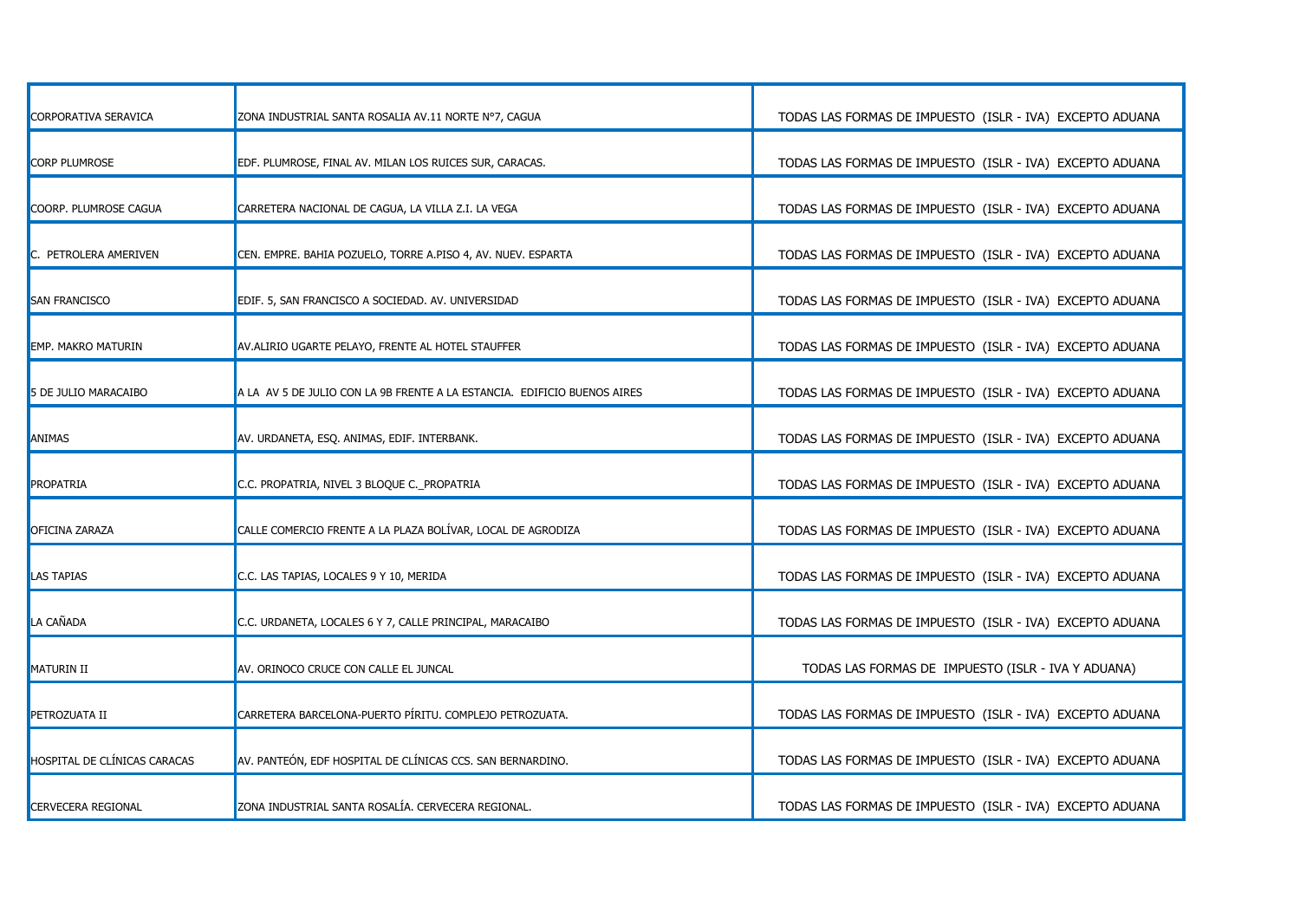| CORPORATIVA SERAVICA         | ZONA INDUSTRIAL SANTA ROSALIA AV.11 NORTE Nº7, CAGUA                     | TODAS LAS FORMAS DE IMPUESTO (ISLR - IVA) EXCEPTO ADUANA |
|------------------------------|--------------------------------------------------------------------------|----------------------------------------------------------|
| CORP PLUMROSE                | EDF. PLUMROSE, FINAL AV. MILAN LOS RUICES SUR, CARACAS.                  | TODAS LAS FORMAS DE IMPUESTO (ISLR - IVA) EXCEPTO ADUANA |
| COORP. PLUMROSE CAGUA        | CARRETERA NACIONAL DE CAGUA, LA VILLA Z.I. LA VEGA                       | TODAS LAS FORMAS DE IMPUESTO (ISLR - IVA) EXCEPTO ADUANA |
| C. PETROLERA AMERIVEN        | CEN. EMPRE. BAHIA POZUELO, TORRE A.PISO 4, AV. NUEV. ESPARTA             | TODAS LAS FORMAS DE IMPUESTO (ISLR - IVA) EXCEPTO ADUANA |
| <b>SAN FRANCISCO</b>         | EDIF. 5, SAN FRANCISCO A SOCIEDAD. AV. UNIVERSIDAD                       | TODAS LAS FORMAS DE IMPUESTO (ISLR - IVA) EXCEPTO ADUANA |
| <b>EMP. MAKRO MATURIN</b>    | AV.ALIRIO UGARTE PELAYO, FRENTE AL HOTEL STAUFFER                        | TODAS LAS FORMAS DE IMPUESTO (ISLR - IVA) EXCEPTO ADUANA |
| 5 DE JULIO MARACAIBO         | A LA AV 5 DE JULIO CON LA 9B FRENTE A LA ESTANCIA. EDIFICIO BUENOS AIRES | TODAS LAS FORMAS DE IMPUESTO (ISLR - IVA) EXCEPTO ADUANA |
| ANIMAS                       | AV. URDANETA, ESQ. ANIMAS, EDIF. INTERBANK.                              | TODAS LAS FORMAS DE IMPUESTO (ISLR - IVA) EXCEPTO ADUANA |
| PROPATRIA                    | C.C. PROPATRIA, NIVEL 3 BLOQUE C. PROPATRIA                              | TODAS LAS FORMAS DE IMPUESTO (ISLR - IVA) EXCEPTO ADUANA |
| <b>OFICINA ZARAZA</b>        | CALLE COMERCIO FRENTE A LA PLAZA BOLÍVAR, LOCAL DE AGRODIZA              | TODAS LAS FORMAS DE IMPUESTO (ISLR - IVA) EXCEPTO ADUANA |
| <b>LAS TAPIAS</b>            | C.C. LAS TAPIAS, LOCALES 9 Y 10, MERIDA                                  | TODAS LAS FORMAS DE IMPUESTO (ISLR - IVA) EXCEPTO ADUANA |
| LA CAÑADA                    | C.C. URDANETA, LOCALES 6 Y 7, CALLE PRINCIPAL, MARACAIBO                 | TODAS LAS FORMAS DE IMPUESTO (ISLR - IVA) EXCEPTO ADUANA |
| <b>MATURIN II</b>            | AV. ORINOCO CRUCE CON CALLE EL JUNCAL                                    | TODAS LAS FORMAS DE IMPUESTO (ISLR - IVA Y ADUANA)       |
| PETROZUATA II                | CARRETERA BARCELONA-PUERTO PÍRITU. COMPLEJO PETROZUATA.                  | TODAS LAS FORMAS DE IMPUESTO (ISLR - IVA) EXCEPTO ADUANA |
| HOSPITAL DE CLÍNICAS CARACAS | AV. PANTEÓN, EDF HOSPITAL DE CLÍNICAS CCS. SAN BERNARDINO.               | TODAS LAS FORMAS DE IMPUESTO (ISLR - IVA) EXCEPTO ADUANA |
| <b>CERVECERA REGIONAL</b>    | ZONA INDUSTRIAL SANTA ROSALÍA. CERVECERA REGIONAL.                       | TODAS LAS FORMAS DE IMPUESTO (ISLR - IVA) EXCEPTO ADUANA |